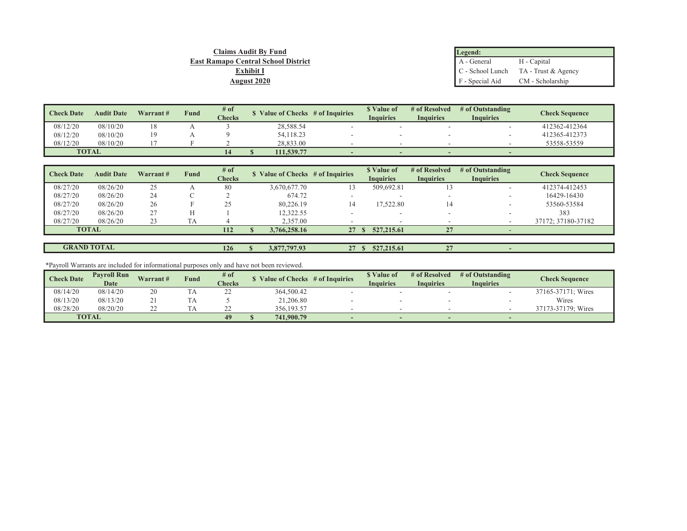| Claims Audit By Fund                       | Legend:                          |                                        |
|--------------------------------------------|----------------------------------|----------------------------------------|
| <b>East Ramapo Central School District</b> | A - General                      | H - Capital                            |
| <b>Exhibit I</b>                           |                                  | $C$ - School Lunch TA - Trust & Agency |
| <b>August 2020</b>                         | F - Special Aid CM - Scholarship |                                        |

| <b>Check Date</b> | <b>Audit Date</b> | Warrant# | <b>Fund</b> | $#$ of<br><b>Checks</b> | Value of Checks # of Inquiries |            | <b>S</b> Value of<br><b>Inquiries</b> | # of Resolved<br><b>Inquiries</b> | # of Outstanding<br>Inquiries | Check Sequence |               |
|-------------------|-------------------|----------|-------------|-------------------------|--------------------------------|------------|---------------------------------------|-----------------------------------|-------------------------------|----------------|---------------|
|                   |                   |          |             |                         |                                |            |                                       |                                   |                               |                |               |
| 08/12/20          | 08/10/20          | 18       |             |                         |                                | 28,588.54  |                                       |                                   |                               |                | 412362-412364 |
| 08/12/20          | 08/10/20          | 19       |             |                         |                                | 54,118.23  |                                       |                                   |                               |                | 412365-412373 |
| 08/12/20          | 08/10/20          |          |             |                         |                                | 28,833,00  |                                       |                                   |                               |                | 53558-53559   |
| <b>TOTAL</b>      |                   |          |             |                         |                                | 111,539.77 |                                       |                                   |                               |                |               |

| <b>Check Date</b> | <b>Audit Date</b> | Warrant# | Fund      | # of<br><b>Checks</b> | Value of Checks $#$ of Inquiries |    | <b>S</b> Value of<br><b>Inquiries</b> | # of Resolved<br><b>Inquiries</b> | # of Outstanding<br><b>Inquiries</b> | <b>Check Sequence</b> |
|-------------------|-------------------|----------|-----------|-----------------------|----------------------------------|----|---------------------------------------|-----------------------------------|--------------------------------------|-----------------------|
| 08/27/20          | 08/26/20          | 25       |           | 80                    | 3.670.677.70                     |    | 509,692.81                            |                                   | $\sim$                               | 412374-412453         |
| 08/27/20          | 08/26/20          | 24       |           |                       | 674.72                           |    |                                       |                                   | $\sim$                               | 16429-16430           |
| 08/27/20          | 08/26/20          | 26       |           | 25                    | 80,226.19                        | 14 | 17.522.80                             |                                   | $\sim$                               | 53560-53584           |
| 08/27/20          | 08/26/20          | 27       |           |                       | 12.322.55                        |    |                                       |                                   |                                      | 383                   |
| 08/27/20          | 08/26/20          | 23       | <b>TA</b> |                       | 2,357.00                         |    |                                       |                                   |                                      | 37172; 37180-37182    |
|                   | <b>TOTAL</b>      |          |           | 112                   | 3,766,258.16                     | 27 | 527, 215.61                           | 27                                |                                      |                       |
|                   |                   |          |           |                       |                                  |    |                                       |                                   |                                      |                       |

| <b>GRAND TOTAL</b> | 126 | $-7797.93$<br>1.077<br>3.0/ | $\sim$<br>$\sim$ 1 | 327,215.61 | 27<br>$\overline{\phantom{a}}$<br>- |  |
|--------------------|-----|-----------------------------|--------------------|------------|-------------------------------------|--|
|                    |     |                             |                    |            |                                     |  |

\*Payroll Warrants are included for informational purposes only and have not been reviewed.

| <b>Check Date</b> | <b>Pavroll Run</b><br>Warrant# |          | <b>Fund</b> | # of          |  |            | Value of Checks # of Inquiries |                  | # of Resolved    | # of Outstanding         | Check Sequence     |  |
|-------------------|--------------------------------|----------|-------------|---------------|--|------------|--------------------------------|------------------|------------------|--------------------------|--------------------|--|
|                   | <b>Date</b>                    |          |             | <b>Checks</b> |  |            |                                | <b>Inquiries</b> | <b>Inquiries</b> | <b>Inquiries</b>         |                    |  |
| 08/14/20          | 08/14/20                       | 20       |             | ∠∠            |  | 364,500.42 |                                |                  |                  |                          | 37165-37171; Wires |  |
| 08/13/20          | 08/13/20                       |          |             |               |  | 21,206.80  |                                |                  |                  |                          | Wires              |  |
| 08/28/20          | 08/20/20                       | າາ<br>∠∠ |             |               |  | 356,193.57 |                                |                  |                  |                          | 37173-37179: Wires |  |
|                   | <b>TOTAL</b>                   |          |             | 49            |  | 741,900.79 | $\sim$                         |                  |                  | $\overline{\phantom{a}}$ |                    |  |